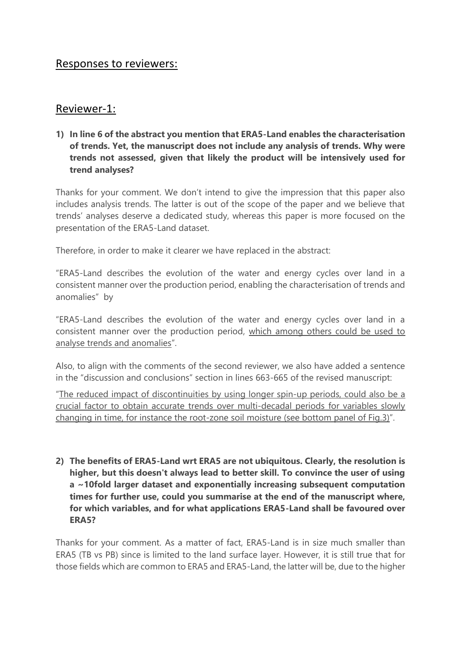# Responses to reviewers:

# Reviewer-1:

**1) In line 6 of the abstract you mention that ERA5-Land enables the characterisation of trends. Yet, the manuscript does not include any analysis of trends. Why were trends not assessed, given that likely the product will be intensively used for trend analyses?**

Thanks for your comment. We don't intend to give the impression that this paper also includes analysis trends. The latter is out of the scope of the paper and we believe that trends' analyses deserve a dedicated study, whereas this paper is more focused on the presentation of the ERA5-Land dataset.

Therefore, in order to make it clearer we have replaced in the abstract:

"ERA5-Land describes the evolution of the water and energy cycles over land in a consistent manner over the production period, enabling the characterisation of trends and anomalies" by

"ERA5-Land describes the evolution of the water and energy cycles over land in a consistent manner over the production period, which among others could be used to analyse trends and anomalies".

Also, to align with the comments of the second reviewer, we also have added a sentence in the "discussion and conclusions" section in lines 663-665 of the revised manuscript:

"The reduced impact of discontinuities by using longer spin-up periods, could also be a crucial factor to obtain accurate trends over multi-decadal periods for variables slowly changing in time, for instance the root-zone soil moisture (see bottom panel of Fig.3)".

**2) The benefits of ERA5-Land wrt ERA5 are not ubiquitous. Clearly, the resolution is higher, but this doesn't always lead to better skill. To convince the user of using a ~10fold larger dataset and exponentially increasing subsequent computation times for further use, could you summarise at the end of the manuscript where, for which variables, and for what applications ERA5-Land shall be favoured over ERA5?**

Thanks for your comment. As a matter of fact, ERA5-Land is in size much smaller than ERA5 (TB vs PB) since is limited to the land surface layer. However, it is still true that for those fields which are common to ERA5 and ERA5-Land, the latter will be, due to the higher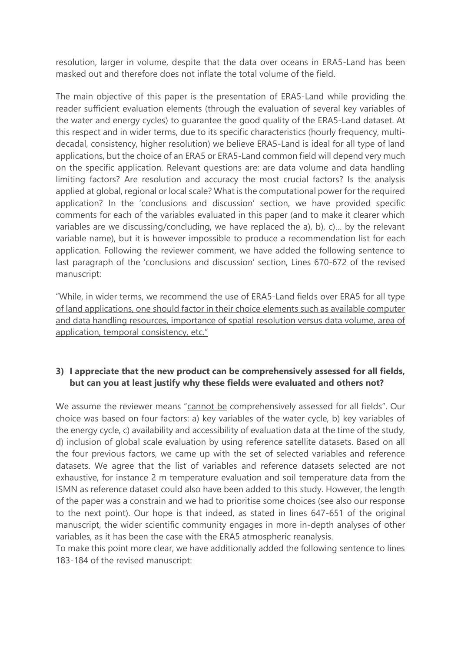resolution, larger in volume, despite that the data over oceans in ERA5-Land has been masked out and therefore does not inflate the total volume of the field.

The main objective of this paper is the presentation of ERA5-Land while providing the reader sufficient evaluation elements (through the evaluation of several key variables of the water and energy cycles) to guarantee the good quality of the ERA5-Land dataset. At this respect and in wider terms, due to its specific characteristics (hourly frequency, multidecadal, consistency, higher resolution) we believe ERA5-Land is ideal for all type of land applications, but the choice of an ERA5 or ERA5-Land common field will depend very much on the specific application. Relevant questions are: are data volume and data handling limiting factors? Are resolution and accuracy the most crucial factors? Is the analysis applied at global, regional or local scale? What is the computational power for the required application? In the 'conclusions and discussion' section, we have provided specific comments for each of the variables evaluated in this paper (and to make it clearer which variables are we discussing/concluding, we have replaced the a), b), c)… by the relevant variable name), but it is however impossible to produce a recommendation list for each application. Following the reviewer comment, we have added the following sentence to last paragraph of the 'conclusions and discussion' section, Lines 670-672 of the revised manuscript:

"While, in wider terms, we recommend the use of ERA5-Land fields over ERA5 for all type of land applications, one should factor in their choice elements such as available computer and data handling resources, importance of spatial resolution versus data volume, area of application, temporal consistency, etc."

# **3) I appreciate that the new product can be comprehensively assessed for all fields, but can you at least justify why these fields were evaluated and others not?**

We assume the reviewer means "cannot be comprehensively assessed for all fields". Our choice was based on four factors: a) key variables of the water cycle, b) key variables of the energy cycle, c) availability and accessibility of evaluation data at the time of the study, d) inclusion of global scale evaluation by using reference satellite datasets. Based on all the four previous factors, we came up with the set of selected variables and reference datasets. We agree that the list of variables and reference datasets selected are not exhaustive, for instance 2 m temperature evaluation and soil temperature data from the ISMN as reference dataset could also have been added to this study. However, the length of the paper was a constrain and we had to prioritise some choices (see also our response to the next point). Our hope is that indeed, as stated in lines 647-651 of the original manuscript, the wider scientific community engages in more in-depth analyses of other variables, as it has been the case with the ERA5 atmospheric reanalysis.

To make this point more clear, we have additionally added the following sentence to lines 183-184 of the revised manuscript: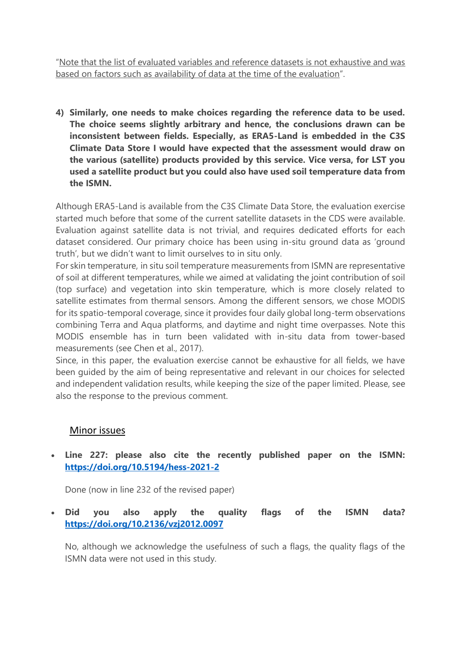"Note that the list of evaluated variables and reference datasets is not exhaustive and was based on factors such as availability of data at the time of the evaluation".

**4) Similarly, one needs to make choices regarding the reference data to be used. The choice seems slightly arbitrary and hence, the conclusions drawn can be inconsistent between fields. Especially, as ERA5-Land is embedded in the C3S Climate Data Store I would have expected that the assessment would draw on the various (satellite) products provided by this service. Vice versa, for LST you used a satellite product but you could also have used soil temperature data from the ISMN.**

Although ERA5-Land is available from the C3S Climate Data Store, the evaluation exercise started much before that some of the current satellite datasets in the CDS were available. Evaluation against satellite data is not trivial, and requires dedicated efforts for each dataset considered. Our primary choice has been using in-situ ground data as 'ground truth', but we didn't want to limit ourselves to in situ only.

For skin temperature, in situ soil temperature measurements from ISMN are representative of soil at different temperatures, while we aimed at validating the joint contribution of soil (top surface) and vegetation into skin temperature, which is more closely related to satellite estimates from thermal sensors. Among the different sensors, we chose MODIS for its spatio-temporal coverage, since it provides four daily global long-term observations combining Terra and Aqua platforms, and daytime and night time overpasses. Note this MODIS ensemble has in turn been validated with in-situ data from tower-based measurements (see Chen et al., 2017).

Since, in this paper, the evaluation exercise cannot be exhaustive for all fields, we have been guided by the aim of being representative and relevant in our choices for selected and independent validation results, while keeping the size of the paper limited. Please, see also the response to the previous comment.

# Minor issues

• **Line 227: please also cite the recently published paper on the ISMN: <https://doi.org/10.5194/hess-2021-2>**

Done (now in line 232 of the revised paper)

• **Did you also apply the quality flags of the ISMN data? <https://doi.org/10.2136/vzj2012.0097>**

No, although we acknowledge the usefulness of such a flags, the quality flags of the ISMN data were not used in this study.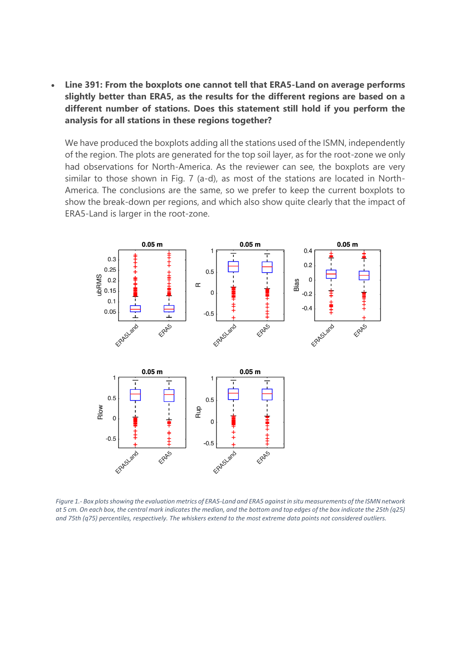• **Line 391: From the boxplots one cannot tell that ERA5-Land on average performs slightly better than ERA5, as the results for the different regions are based on a different number of stations. Does this statement still hold if you perform the analysis for all stations in these regions together?**

We have produced the boxplots adding all the stations used of the ISMN, independently of the region. The plots are generated for the top soil layer, as for the root-zone we only had observations for North-America. As the reviewer can see, the boxplots are very similar to those shown in Fig. 7 (a-d), as most of the stations are located in North-America. The conclusions are the same, so we prefer to keep the current boxplots to show the break-down per regions, and which also show quite clearly that the impact of ERA5-Land is larger in the root-zone.



*Figure 1.- Box plots showing the evaluation metrics of ERA5-Land and ERA5 against in situ measurements of the ISMN network at 5 cm. On each box, the central mark indicates the median, and the bottom and top edges of the box indicate the 25th (q25) and 75th (q75) percentiles, respectively. The whiskers extend to the most extreme data points not considered outliers.*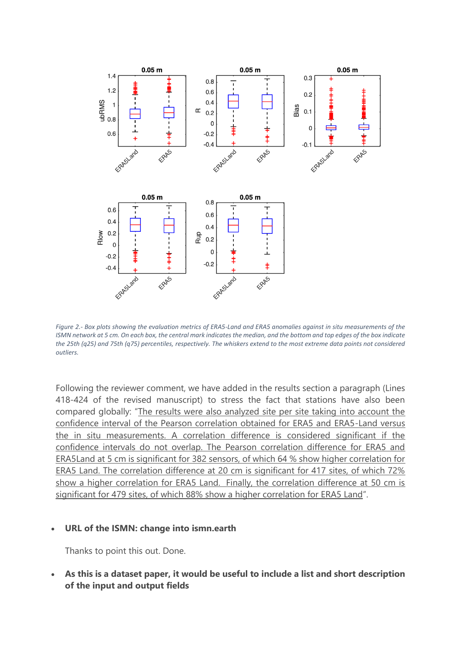

*Figure 2.- Box plots showing the evaluation metrics of ERA5-Land and ERA5 anomalies against in situ measurements of the ISMN network at 5 cm. On each box, the central mark indicates the median, and the bottom and top edges of the box indicate the 25th (q25) and 75th (q75) percentiles, respectively. The whiskers extend to the most extreme data points not considered outliers.* 

Following the reviewer comment, we have added in the results section a paragraph (Lines 418-424 of the revised manuscript) to stress the fact that stations have also been compared globally: "The results were also analyzed site per site taking into account the confidence interval of the Pearson correlation obtained for ERA5 and ERA5-Land versus the in situ measurements. A correlation difference is considered significant if the confidence intervals do not overlap. The Pearson correlation difference for ERA5 and ERA5Land at 5 cm is significant for 382 sensors, of which 64 % show higher correlation for ERA5 Land. The correlation difference at 20 cm is significant for 417 sites, of which 72% show a higher correlation for ERA5 Land. Finally, the correlation difference at 50 cm is significant for 479 sites, of which 88% show a higher correlation for ERA5 Land".

#### • **URL of the ISMN: change into ismn.earth**

Thanks to point this out. Done.

• **As this is a dataset paper, it would be useful to include a list and short description of the input and output fields**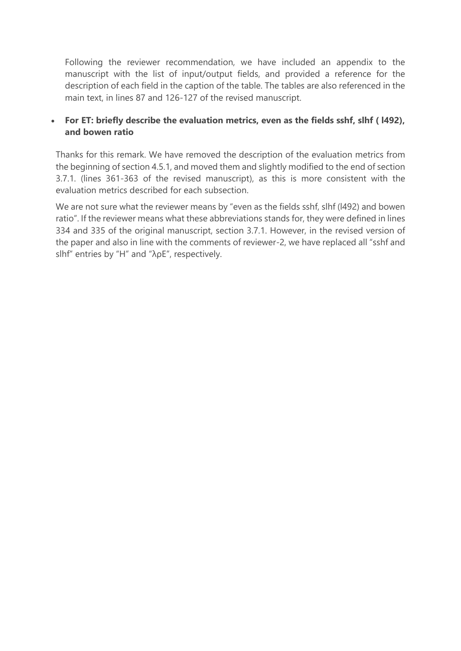Following the reviewer recommendation, we have included an appendix to the manuscript with the list of input/output fields, and provided a reference for the description of each field in the caption of the table. The tables are also referenced in the main text, in lines 87 and 126-127 of the revised manuscript.

# • **For ET: briefly describe the evaluation metrics, even as the fields sshf, slhf ( l492), and bowen ratio**

Thanks for this remark. We have removed the description of the evaluation metrics from the beginning of section 4.5.1, and moved them and slightly modified to the end of section 3.7.1. (lines 361-363 of the revised manuscript), as this is more consistent with the evaluation metrics described for each subsection.

We are not sure what the reviewer means by "even as the fields sshf, slhf (l492) and bowen ratio". If the reviewer means what these abbreviations stands for, they were defined in lines 334 and 335 of the original manuscript, section 3.7.1. However, in the revised version of the paper and also in line with the comments of reviewer-2, we have replaced all "sshf and slhf" entries by "H" and "λρE", respectively.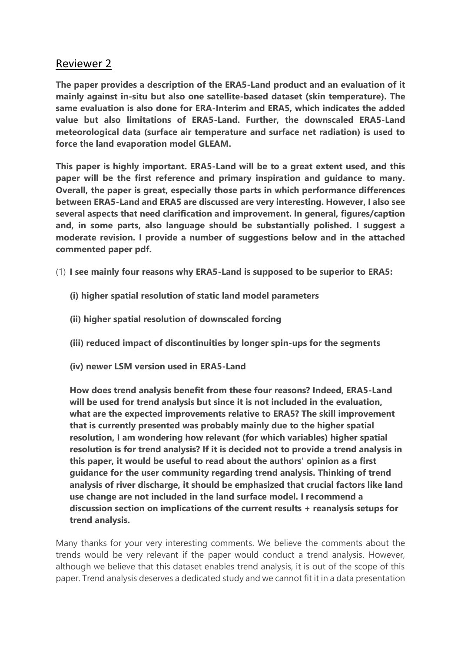# Reviewer 2

**The paper provides a description of the ERA5-Land product and an evaluation of it mainly against in-situ but also one satellite-based dataset (skin temperature). The same evaluation is also done for ERA-Interim and ERA5, which indicates the added value but also limitations of ERA5-Land. Further, the downscaled ERA5-Land meteorological data (surface air temperature and surface net radiation) is used to force the land evaporation model GLEAM.**

**This paper is highly important. ERA5-Land will be to a great extent used, and this paper will be the first reference and primary inspiration and guidance to many. Overall, the paper is great, especially those parts in which performance differences between ERA5-Land and ERA5 are discussed are very interesting. However, I also see several aspects that need clarification and improvement. In general, figures/caption and, in some parts, also language should be substantially polished. I suggest a moderate revision. I provide a number of suggestions below and in the attached commented paper pdf.**

- (1) **I see mainly four reasons why ERA5-Land is supposed to be superior to ERA5:**
	- **(i) higher spatial resolution of static land model parameters**
	- **(ii) higher spatial resolution of downscaled forcing**
	- **(iii) reduced impact of discontinuities by longer spin-ups for the segments**
	- **(iv) newer LSM version used in ERA5-Land**

**How does trend analysis benefit from these four reasons? Indeed, ERA5-Land will be used for trend analysis but since it is not included in the evaluation, what are the expected improvements relative to ERA5? The skill improvement that is currently presented was probably mainly due to the higher spatial resolution, I am wondering how relevant (for which variables) higher spatial resolution is for trend analysis? If it is decided not to provide a trend analysis in this paper, it would be useful to read about the authors' opinion as a first guidance for the user community regarding trend analysis. Thinking of trend analysis of river discharge, it should be emphasized that crucial factors like land use change are not included in the land surface model. I recommend a discussion section on implications of the current results + reanalysis setups for trend analysis.**

Many thanks for your very interesting comments. We believe the comments about the trends would be very relevant if the paper would conduct a trend analysis. However, although we believe that this dataset enables trend analysis, it is out of the scope of this paper. Trend analysis deserves a dedicated study and we cannot fit it in a data presentation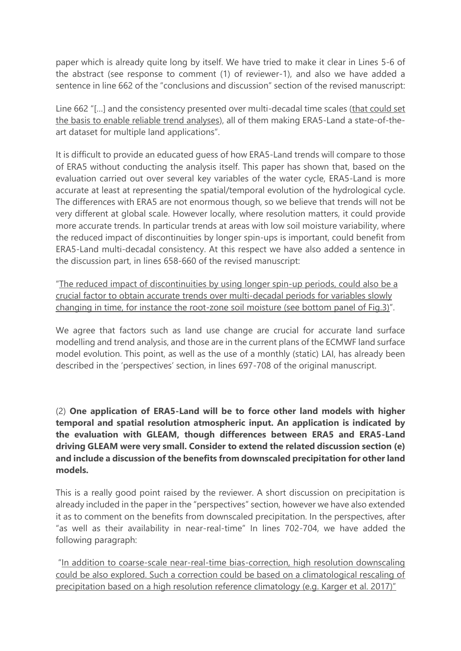paper which is already quite long by itself. We have tried to make it clear in Lines 5-6 of the abstract (see response to comment (1) of reviewer-1), and also we have added a sentence in line 662 of the "conclusions and discussion" section of the revised manuscript:

Line 662 "[...] and the consistency presented over multi-decadal time scales (that could set the basis to enable reliable trend analyses), all of them making ERA5-Land a state-of-theart dataset for multiple land applications".

It is difficult to provide an educated guess of how ERA5-Land trends will compare to those of ERA5 without conducting the analysis itself. This paper has shown that, based on the evaluation carried out over several key variables of the water cycle, ERA5-Land is more accurate at least at representing the spatial/temporal evolution of the hydrological cycle. The differences with ERA5 are not enormous though, so we believe that trends will not be very different at global scale. However locally, where resolution matters, it could provide more accurate trends. In particular trends at areas with low soil moisture variability, where the reduced impact of discontinuities by longer spin-ups is important, could benefit from ERA5-Land multi-decadal consistency. At this respect we have also added a sentence in the discussion part, in lines 658-660 of the revised manuscript:

"The reduced impact of discontinuities by using longer spin-up periods, could also be a crucial factor to obtain accurate trends over multi-decadal periods for variables slowly changing in time, for instance the root-zone soil moisture (see bottom panel of Fig.3)".

We agree that factors such as land use change are crucial for accurate land surface modelling and trend analysis, and those are in the current plans of the ECMWF land surface model evolution. This point, as well as the use of a monthly (static) LAI, has already been described in the 'perspectives' section, in lines 697-708 of the original manuscript.

(2) **One application of ERA5-Land will be to force other land models with higher temporal and spatial resolution atmospheric input. An application is indicated by the evaluation with GLEAM, though differences between ERA5 and ERA5-Land driving GLEAM were very small. Consider to extend the related discussion section (e) and include a discussion of the benefits from downscaled precipitation for other land models.**

This is a really good point raised by the reviewer. A short discussion on precipitation is already included in the paper in the "perspectives" section, however we have also extended it as to comment on the benefits from downscaled precipitation. In the perspectives, after "as well as their availability in near-real-time" In lines 702-704, we have added the following paragraph:

"In addition to coarse-scale near-real-time bias-correction, high resolution downscaling could be also explored. Such a correction could be based on a climatological rescaling of precipitation based on a high resolution reference climatology (e.g. Karger et al. 2017)"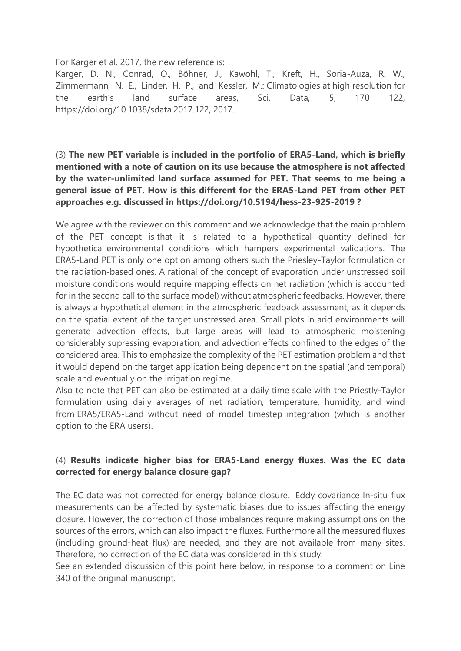For Karger et al. 2017, the new reference is:

Karger, D. N., Conrad, O., Böhner, J., Kawohl, T., Kreft, H., Soria-Auza, R. W., Zimmermann, N. E., Linder, H. P., and Kessler, M.: Climatologies at high resolution for the earth's land surface areas, Sci. Data, 5, 170 122, https://doi.org/10.1038/sdata.2017.122, 2017.

# (3) **The new PET variable is included in the portfolio of ERA5-Land, which is briefly mentioned with a note of caution on its use because the atmosphere is not affected by the water-unlimited land surface assumed for PET. That seems to me being a general issue of PET. How is this different for the ERA5-Land PET from other PET approaches e.g. discussed in https://doi.org/10.5194/hess-23-925-2019 ?**

We agree with the reviewer on this comment and we acknowledge that the main problem of the PET concept is that it is related to a hypothetical quantity defined for hypothetical environmental conditions which hampers experimental validations. The ERA5-Land PET is only one option among others such the Priesley-Taylor formulation or the radiation-based ones. A rational of the concept of evaporation under unstressed soil moisture conditions would require mapping effects on net radiation (which is accounted for in the second call to the surface model) without atmospheric feedbacks. However, there is always a hypothetical element in the atmospheric feedback assessment, as it depends on the spatial extent of the target unstressed area. Small plots in arid environments will generate advection effects, but large areas will lead to atmospheric moistening considerably supressing evaporation, and advection effects confined to the edges of the considered area. This to emphasize the complexity of the PET estimation problem and that it would depend on the target application being dependent on the spatial (and temporal) scale and eventually on the irrigation regime.

Also to note that PET can also be estimated at a daily time scale with the Priestly-Taylor formulation using daily averages of net radiation, temperature, humidity, and wind from ERA5/ERA5-Land without need of model timestep integration (which is another option to the ERA users).

# (4) **Results indicate higher bias for ERA5-Land energy fluxes. Was the EC data corrected for energy balance closure gap?**

The EC data was not corrected for energy balance closure. Eddy covariance In-situ flux measurements can be affected by systematic biases due to issues affecting the energy closure. However, the correction of those imbalances require making assumptions on the sources of the errors, which can also impact the fluxes. Furthermore all the measured fluxes (including ground-heat flux) are needed, and they are not available from many sites. Therefore, no correction of the EC data was considered in this study.

See an extended discussion of this point here below, in response to a comment on Line 340 of the original manuscript.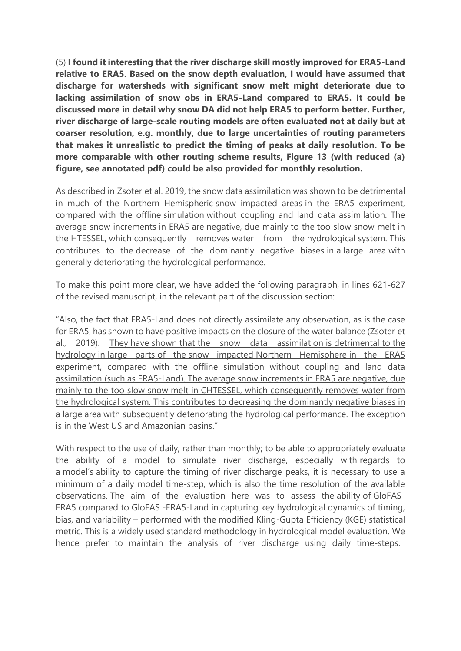(5) **I found it interesting that the river discharge skill mostly improved for ERA5-Land relative to ERA5. Based on the snow depth evaluation, I would have assumed that discharge for watersheds with significant snow melt might deteriorate due to lacking assimilation of snow obs in ERA5-Land compared to ERA5. It could be discussed more in detail why snow DA did not help ERA5 to perform better. Further, river discharge of large-scale routing models are often evaluated not at daily but at coarser resolution, e.g. monthly, due to large uncertainties of routing parameters that makes it unrealistic to predict the timing of peaks at daily resolution. To be more comparable with other routing scheme results, Figure 13 (with reduced (a) figure, see annotated pdf) could be also provided for monthly resolution.**

As described in Zsoter et al. 2019, the snow data assimilation was shown to be detrimental in much of the Northern Hemispheric snow impacted areas in the ERA5 experiment, compared with the offline simulation without coupling and land data assimilation. The average snow increments in ERA5 are negative, due mainly to the too slow snow melt in the HTESSEL, which consequently removes water from the hydrological system. This contributes to the decrease of the dominantly negative biases in a large area with generally deteriorating the hydrological performance.

To make this point more clear, we have added the following paragraph, in lines 621-627 of the revised manuscript, in the relevant part of the discussion section:

"Also, the fact that ERA5-Land does not directly assimilate any observation, as is the case for ERA5, has shown to have positive impacts on the closure of the water balance (Zsoter et al., 2019). They have shown that the snow data assimilation is detrimental to the hydrology in large parts of the snow impacted Northern Hemisphere in the ERA5 experiment, compared with the offline simulation without coupling and land data assimilation (such as ERA5-Land). The average snow increments in ERA5 are negative, due mainly to the too slow snow melt in CHTESSEL, which consequently removes water from the hydrological system. This contributes to decreasing the dominantly negative biases in a large area with subsequently deteriorating the hydrological performance. The exception is in the West US and Amazonian basins."

With respect to the use of daily, rather than monthly; to be able to appropriately evaluate the ability of a model to simulate river discharge, especially with regards to a model's ability to capture the timing of river discharge peaks, it is necessary to use a minimum of a daily model time-step, which is also the time resolution of the available observations. The aim of the evaluation here was to assess the ability of GloFAS-ERA5 compared to GloFAS -ERA5-Land in capturing key hydrological dynamics of timing, bias, and variability – performed with the modified Kling-Gupta Efficiency (KGE) statistical metric. This is a widely used standard methodology in hydrological model evaluation. We hence prefer to maintain the analysis of river discharge using daily time-steps.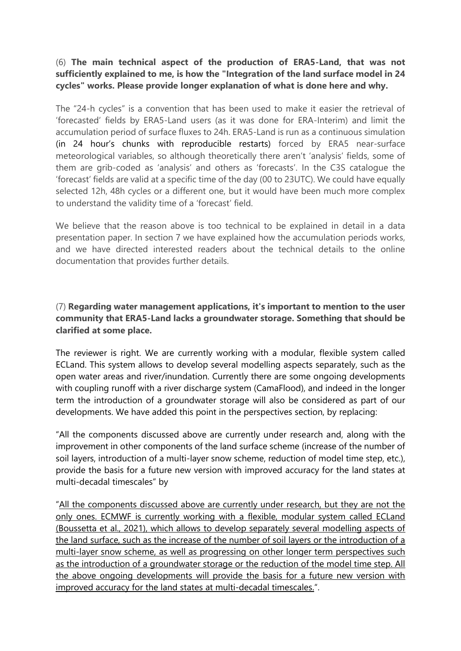# (6) **The main technical aspect of the production of ERA5-Land, that was not sufficiently explained to me, is how the "Integration of the land surface model in 24 cycles" works. Please provide longer explanation of what is done here and why.**

The "24-h cycles" is a convention that has been used to make it easier the retrieval of 'forecasted' fields by ERA5-Land users (as it was done for ERA-Interim) and limit the accumulation period of surface fluxes to 24h. ERA5-Land is run as a continuous simulation (in 24 hour's chunks with reproducible restarts) forced by ERA5 near-surface meteorological variables, so although theoretically there aren't 'analysis' fields, some of them are grib-coded as 'analysis' and others as 'forecasts'. In the C3S catalogue the 'forecast' fields are valid at a specific time of the day (00 to 23UTC). We could have equally selected 12h, 48h cycles or a different one, but it would have been much more complex to understand the validity time of a 'forecast' field.

We believe that the reason above is too technical to be explained in detail in a data presentation paper. In section 7 we have explained how the accumulation periods works, and we have directed interested readers about the technical details to the online documentation that provides further details.

# (7) **Regarding water management applications, it's important to mention to the user community that ERA5-Land lacks a groundwater storage. Something that should be clarified at some place.**

The reviewer is right. We are currently working with a modular, flexible system called ECLand. This system allows to develop several modelling aspects separately, such as the open water areas and river/inundation. Currently there are some ongoing developments with coupling runoff with a river discharge system (CamaFlood), and indeed in the longer term the introduction of a groundwater storage will also be considered as part of our developments. We have added this point in the perspectives section, by replacing:

"All the components discussed above are currently under research and, along with the improvement in other components of the land surface scheme (increase of the number of soil layers, introduction of a multi-layer snow scheme, reduction of model time step, etc.), provide the basis for a future new version with improved accuracy for the land states at multi-decadal timescales" by

"All the components discussed above are currently under research, but they are not the only ones. ECMWF is currently working with a flexible, modular system called ECLand (Boussetta et al., 2021), which allows to develop separately several modelling aspects of the land surface, such as the increase of the number of soil layers or the introduction of a multi-layer snow scheme, as well as progressing on other longer term perspectives such as the introduction of a groundwater storage or the reduction of the model time step. All the above ongoing developments will provide the basis for a future new version with improved accuracy for the land states at multi-decadal timescales.".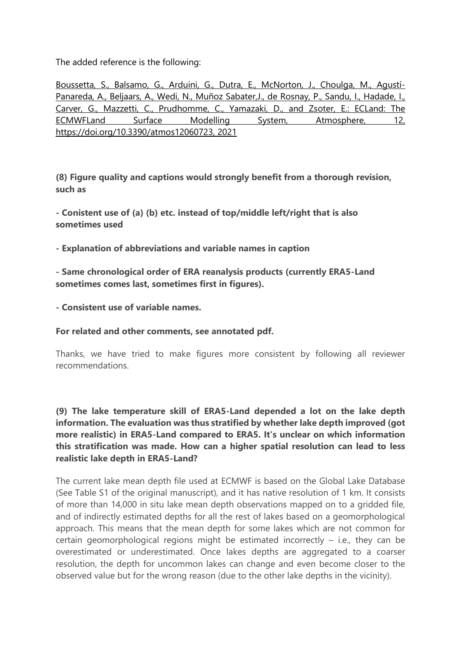The added reference is the following:

Boussetta, S., Balsamo, G., Arduini, G., Dutra, E., McNorton, J., Choulga, M., Agustí-Panareda, A., Beljaars, A., Wedi, N., Muñoz Sabater, J., de Rosnay, P., Sandu, I., Hadade, I., Carver, G., Mazzetti, C., Prudhomme, C., Yamazaki, D., and Zsoter, E.: ECLand: The ECMWFLand Surface Modelling System, Atmosphere, 12, https://doi.org/10.3390/atmos12060723, 2021

**(8) Figure quality and captions would strongly benefit from a thorough revision, such as**

**- Conistent use of (a) (b) etc. instead of top/middle left/right that is also sometimes used**

**- Explanation of abbreviations and variable names in caption**

**- Same chronological order of ERA reanalysis products (currently ERA5-Land sometimes comes last, sometimes first in figures).**

**- Consistent use of variable names.**

**For related and other comments, see annotated pdf.**

Thanks, we have tried to make figures more consistent by following all reviewer recommendations.

**(9) The lake temperature skill of ERA5-Land depended a lot on the lake depth information. The evaluation was thus stratified by whether lake depth improved (got more realistic) in ERA5-Land compared to ERA5. It's unclear on which information this stratification was made. How can a higher spatial resolution can lead to less realistic lake depth in ERA5-Land?**

The current lake mean depth file used at ECMWF is based on the Global Lake Database (See Table S1 of the original manuscript), and it has native resolution of 1 km. It consists of more than 14,000 in situ lake mean depth observations mapped on to a gridded file, and of indirectly estimated depths for all the rest of lakes based on a geomorphological approach. This means that the mean depth for some lakes which are not common for certain geomorphological regions might be estimated incorrectly  $-$  i.e., they can be overestimated or underestimated. Once lakes depths are aggregated to a coarser resolution, the depth for uncommon lakes can change and even become closer to the observed value but for the wrong reason (due to the other lake depths in the vicinity).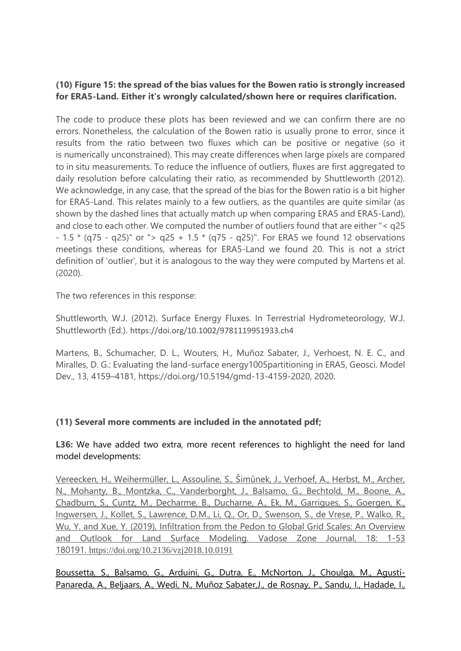# **(10) Figure 15: the spread of the bias values for the Bowen ratio is strongly increased for ERA5-Land. Either it's wrongly calculated/shown here or requires clarification.**

The code to produce these plots has been reviewed and we can confirm there are no errors. Nonetheless, the calculation of the Bowen ratio is usually prone to error, since it results from the ratio between two fluxes which can be positive or negative (so it is numerically unconstrained). This may create differences when large pixels are compared to in situ measurements. To reduce the influence of outliers, fluxes are first aggregated to daily resolution before calculating their ratio, as recommended by Shuttleworth (2012). We acknowledge, in any case, that the spread of the bias for the Bowen ratio is a bit higher for ERA5-Land. This relates mainly to a few outliers, as the quantiles are quite similar (as shown by the dashed lines that actually match up when comparing ERA5 and ERA5-Land), and close to each other. We computed the number of outliers found that are either "< q25 - 1.5  $*$  (q75 - q25)" or "> q25 + 1.5  $*$  (q75 - q25)". For ERA5 we found 12 observations meetings these conditions, whereas for ERA5-Land we found 20. This is not a strict definition of 'outlier', but it is analogous to the way they were computed by Martens et al. (2020).

The two references in this response:

Shuttleworth, W.J. (2012). Surface Energy Fluxes. In Terrestrial Hydrometeorology, W.J. Shuttleworth (Ed.). <https://doi.org/10.1002/9781119951933.ch4>

Martens, B., Schumacher, D. L., Wouters, H., Muñoz Sabater, J., Verhoest, N. E. C., and Miralles, D. G.: Evaluating the land-surface energy1005partitioning in ERA5, Geosci. Model Dev., 13, 4159–4181, https://doi.org/10.5194/gmd-13-4159-2020, 2020.

# **(11) Several more comments are included in the annotated pdf;**

**L36:** We have added two extra, more recent references to highlight the need for land model developments:

Vereecken, H., Weihermüller, L., Assouline, S., Šimůnek, J., Verhoef, A., Herbst, M., Archer, N., Mohanty, B., Montzka, C., Vanderborght, J., Balsamo, G., Bechtold, M., Boone, A., Chadburn, S., Cuntz, M., Decharme, B., Ducharne, A., Ek, M., Garrigues, S., Goergen, K., Ingwersen, J., Kollet, S., Lawrence, D.M., Li, Q., Or, D., Swenson, S., de Vrese, P., Walko, R., Wu, Y. and Xue, Y. (2019), Infiltration from the Pedon to Global Grid Scales: An Overview and Outlook for Land Surface Modeling. Vadose Zone Journal, 18: 1-53 180191. <https://doi.org/10.2136/vzj2018.10.0191>

Boussetta, S., Balsamo, G., Arduini, G., Dutra, E., McNorton, J., Choulga, M., Agustí-Panareda, A., Beljaars, A., Wedi, N., Muñoz Sabater, J., de Rosnay, P., Sandu, I., Hadade, I.,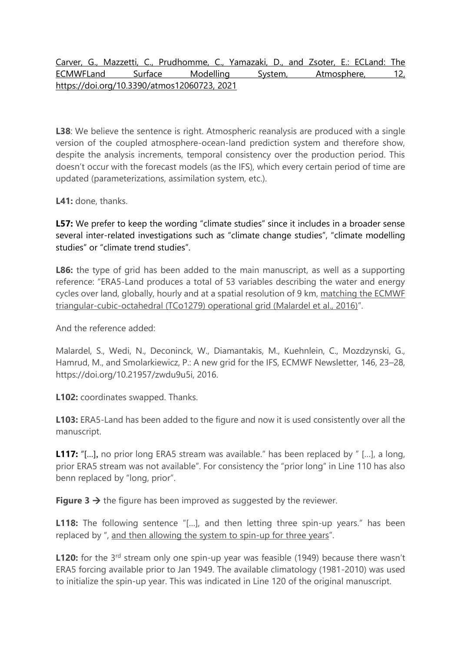# Carver, G., Mazzetti, C., Prudhomme, C., Yamazaki, D., and Zsoter, E.: ECLand: The ECMWFLand Surface Modelling System, Atmosphere, 12, https://doi.org/10.3390/atmos12060723, 2021

**L38**: We believe the sentence is right. Atmospheric reanalysis are produced with a single version of the coupled atmosphere-ocean-land prediction system and therefore show, despite the analysis increments, temporal consistency over the production period. This doesn't occur with the forecast models (as the IFS), which every certain period of time are updated (parameterizations, assimilation system, etc.).

**L41:** done, thanks.

**L57:** We prefer to keep the wording "climate studies" since it includes in a broader sense several inter-related investigations such as "climate change studies", "climate modelling studies" or "climate trend studies".

**L86:** the type of grid has been added to the main manuscript, as well as a supporting reference: "ERA5-Land produces a total of 53 variables describing the water and energy cycles over land, globally, hourly and at a spatial resolution of 9 km, matching the ECMWF triangular-cubic-octahedral (TCo1279) operational grid (Malardel et al., 2016)".

And the reference added:

Malardel, S., Wedi, N., Deconinck, W., Diamantakis, M., Kuehnlein, C., Mozdzynski, G., Hamrud, M., and Smolarkiewicz, P.: A new grid for the IFS, ECMWF Newsletter, 146, 23–28, https://doi.org/10.21957/zwdu9u5i, 2016.

**L102:** coordinates swapped. Thanks.

**L103:** ERA5-Land has been added to the figure and now it is used consistently over all the manuscript.

**L117:** "[...], no prior long ERA5 stream was available." has been replaced by " [...], a long, prior ERA5 stream was not available". For consistency the "prior long" in Line 110 has also benn replaced by "long, prior".

**Figure 3**  $\rightarrow$  the figure has been improved as suggested by the reviewer.

**L118:** The following sentence "[...], and then letting three spin-up years." has been replaced by ", and then allowing the system to spin-up for three years".

**L120:** for the 3<sup>rd</sup> stream only one spin-up year was feasible (1949) because there wasn't ERA5 forcing available prior to Jan 1949. The available climatology (1981-2010) was used to initialize the spin-up year. This was indicated in Line 120 of the original manuscript.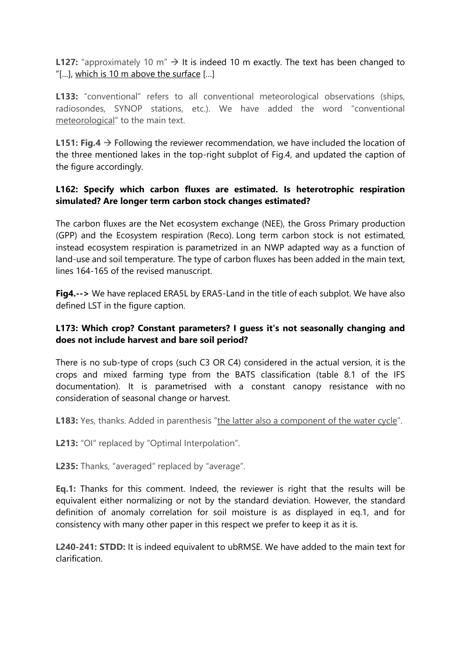**L127:** "approximately 10 m"  $\rightarrow$  It is indeed 10 m exactly. The text has been changed to "[…], which is 10 m above the surface […]

**L133:** "conventional" refers to all conventional meteorological observations (ships, radiosondes, SYNOP stations, etc.). We have added the word "conventional meteorological" to the main text.

**L151: Fig.4** → Following the reviewer recommendation, we have included the location of the three mentioned lakes in the top-right subplot of Fig.4, and updated the caption of the figure accordingly.

#### **L162: Specify which carbon fluxes are estimated. Is heterotrophic respiration simulated? Are longer term carbon stock changes estimated?**

The carbon fluxes are the Net ecosystem exchange (NEE), the Gross Primary production (GPP) and the Ecosystem respiration (Reco). Long term carbon stock is not estimated, instead ecosystem respiration is parametrized in an NWP adapted way as a function of land-use and soil temperature. The type of carbon fluxes has been added in the main text, lines 164-165 of the revised manuscript.

**Fig4.-->** We have replaced ERA5L by ERA5-Land in the title of each subplot. We have also defined LST in the figure caption.

# **L173: Which crop? Constant parameters? I guess it's not seasonally changing and does not include harvest and bare soil period?**

There is no sub-type of crops (such C3 OR C4) considered in the actual version, it is the crops and mixed farming type from the BATS classification (table 8.1 of the IFS documentation). It is parametrised with a constant canopy resistance with no consideration of seasonal change or harvest.

L183: Yes, thanks. Added in parenthesis "the latter also a component of the water cycle".

L213: "OI" replaced by "Optimal Interpolation".

**L235:** Thanks, "averaged" replaced by "average".

**Eq.1:** Thanks for this comment. Indeed, the reviewer is right that the results will be equivalent either normalizing or not by the standard deviation. However, the standard definition of anomaly correlation for soil moisture is as displayed in eq.1, and for consistency with many other paper in this respect we prefer to keep it as it is.

**L240-241: STDD:** It is indeed equivalent to ubRMSE. We have added to the main text for clarification.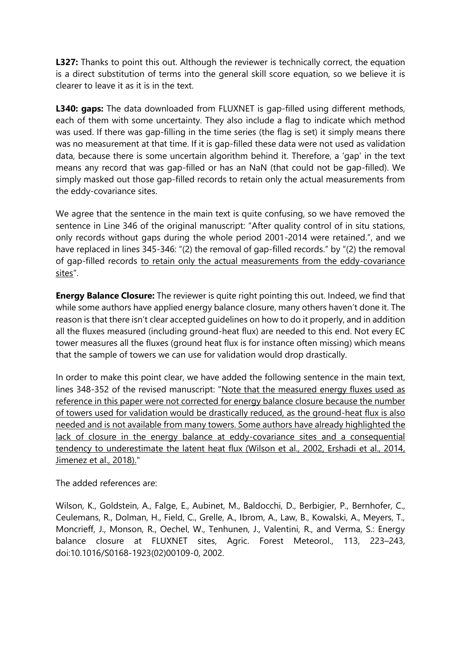**L327:** Thanks to point this out. Although the reviewer is technically correct, the equation is a direct substitution of terms into the general skill score equation, so we believe it is clearer to leave it as it is in the text.

**L340: gaps:** The data downloaded from FLUXNET is gap-filled using different methods, each of them with some uncertainty. They also include a flag to indicate which method was used. If there was gap-filling in the time series (the flag is set) it simply means there was no measurement at that time. If it is gap-filled these data were not used as validation data, because there is some uncertain algorithm behind it. Therefore, a 'gap' in the text means any record that was gap-filled or has an NaN (that could not be gap-filled). We simply masked out those gap-filled records to retain only the actual measurements from the eddy-covariance sites.

We agree that the sentence in the main text is quite confusing, so we have removed the sentence in Line 346 of the original manuscript: "After quality control of in situ stations, only records without gaps during the whole period 2001-2014 were retained.", and we have replaced in lines 345-346: "(2) the removal of gap-filled records." by "(2) the removal of gap-filled records to retain only the actual measurements from the eddy-covariance sites".

**Energy Balance Closure:** The reviewer is quite right pointing this out. Indeed, we find that while some authors have applied energy balance closure, many others haven't done it. The reason is that there isn't clear accepted guidelines on how to do it properly, and in addition all the fluxes measured (including ground-heat flux) are needed to this end. Not every EC tower measures all the fluxes (ground heat flux is for instance often missing) which means that the sample of towers we can use for validation would drop drastically.

In order to make this point clear, we have added the following sentence in the main text, lines 348-352 of the revised manuscript: "Note that the measured energy fluxes used as reference in this paper were not corrected for energy balance closure because the number of towers used for validation would be drastically reduced, as the ground-heat flux is also needed and is not available from many towers. Some authors have already highlighted the lack of closure in the energy balance at eddy-covariance sites and a consequential tendency to underestimate the latent heat flux (Wilson et al., 2002, Ershadi et al., 2014, Jimenez et al., 2018)."

The added references are:

Wilson, K., Goldstein, A., Falge, E., Aubinet, M., Baldocchi, D., Berbigier, P., Bernhofer, C., Ceulemans, R., Dolman, H., Field, C., Grelle, A., Ibrom, A., Law, B., Kowalski, A., Meyers, T., Moncrieff, J., Monson, R., Oechel, W., Tenhunen, J., Valentini, R., and Verma, S.: Energy balance closure at FLUXNET sites, Agric. Forest Meteorol., 113, 223–243, doi:10.1016/S0168-1923(02)00109-0, 2002.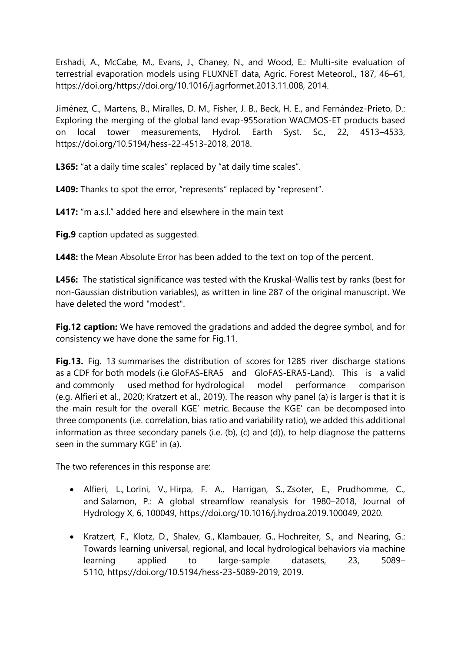Ershadi, A., McCabe, M., Evans, J., Chaney, N., and Wood, E.: Multi-site evaluation of terrestrial evaporation models using FLUXNET data, Agric. Forest Meteorol., 187, 46–61, https://doi.org/https://doi.org/10.1016/j.agrformet.2013.11.008, 2014.

Jiménez, C., Martens, B., Miralles, D. M., Fisher, J. B., Beck, H. E., and Fernández-Prieto, D.: Exploring the merging of the global land evap-955oration WACMOS-ET products based on local tower measurements, Hydrol. Earth Syst. Sc., 22, 4513–4533, https://doi.org/10.5194/hess-22-4513-2018, 2018.

**L365:** "at a daily time scales" replaced by "at daily time scales".

L409: Thanks to spot the error, "represents" replaced by "represent".

**L417:** "m a.s.l." added here and elsewhere in the main text

**Fig.9** caption updated as suggested.

**L448:** the Mean Absolute Error has been added to the text on top of the percent.

**L456:** The statistical significance was tested with the Kruskal-Wallis test by ranks (best for non-Gaussian distribution variables), as written in line 287 of the original manuscript. We have deleted the word "modest".

**Fig.12 caption:** We have removed the gradations and added the degree symbol, and for consistency we have done the same for Fig.11.

**Fig.13.** Fig. 13 summarises the distribution of scores for 1285 river discharge stations as a CDF for both models (i.e GloFAS-ERA5 and GloFAS-ERA5-Land). This is a valid and commonly used method for hydrological model performance comparison (e.g. Alfieri et al., 2020; Kratzert et al., 2019). The reason why panel (a) is larger is that it is the main result for the overall KGE' metric. Because the KGE' can be decomposed into three components (i.e. correlation, bias ratio and variability ratio), we added this additional information as three secondary panels (i.e. (b), (c) and (d)), to help diagnose the patterns seen in the summary KGE' in (a).

The two references in this response are:

- Alfieri, L., Lorini, V., Hirpa, F. A., Harrigan, S., Zsoter, E., Prudhomme, C., and Salamon, P.: A global streamflow reanalysis for 1980–2018, Journal of Hydrology X, 6, 100049, [https://doi.org/10.1016/j.hydroa.2019.100049,](https://doi.org/10.1016/j.hydroa.2019.100049) 2020.
- Kratzert, F., Klotz, D., Shalev, G., Klambauer, G., Hochreiter, S., and Nearing, G.: Towards learning universal, regional, and local hydrological behaviors via machine learning applied to large-sample datasets, 23, 5089– 5110, [https://doi.org/10.5194/hess-23-5089-2019,](https://doi.org/10.5194/hess-23-5089-2019) 2019.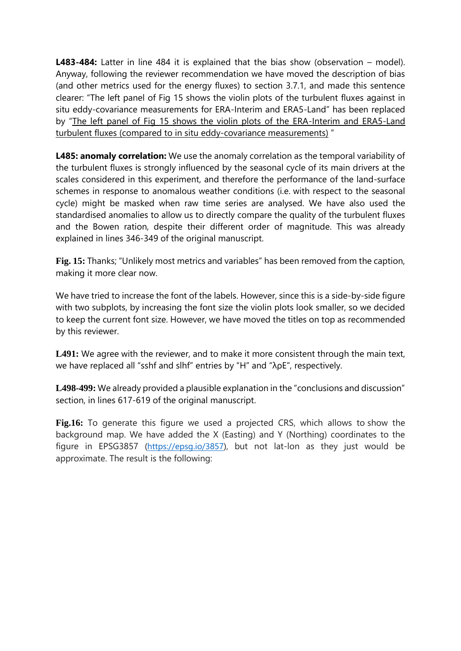**L483-484:** Latter in line 484 it is explained that the bias show (observation – model). Anyway, following the reviewer recommendation we have moved the description of bias (and other metrics used for the energy fluxes) to section 3.7.1, and made this sentence clearer: "The left panel of Fig 15 shows the violin plots of the turbulent fluxes against in situ eddy-covariance measurements for ERA-Interim and ERA5-Land" has been replaced by "The left panel of Fig 15 shows the violin plots of the ERA-Interim and ERA5-Land turbulent fluxes (compared to in situ eddy-covariance measurements) "

**L485: anomaly correlation:** We use the anomaly correlation as the temporal variability of the turbulent fluxes is strongly influenced by the seasonal cycle of its main drivers at the scales considered in this experiment, and therefore the performance of the land-surface schemes in response to anomalous weather conditions (i.e. with respect to the seasonal cycle) might be masked when raw time series are analysed. We have also used the standardised anomalies to allow us to directly compare the quality of the turbulent fluxes and the Bowen ration, despite their different order of magnitude. This was already explained in lines 346-349 of the original manuscript.

**Fig. 15:** Thanks; "Unlikely most metrics and variables" has been removed from the caption, making it more clear now.

We have tried to increase the font of the labels. However, since this is a side-by-side figure with two subplots, by increasing the font size the violin plots look smaller, so we decided to keep the current font size. However, we have moved the titles on top as recommended by this reviewer.

**L491:** We agree with the reviewer, and to make it more consistent through the main text, we have replaced all "sshf and slhf" entries by "H" and "λρE", respectively.

**L498-499:** We already provided a plausible explanation in the "conclusions and discussion" section, in lines 617-619 of the original manuscript.

**Fig.16:** To generate this figure we used a projected CRS, which allows to show the background map. We have added the X (Easting) and Y (Northing) coordinates to the figure in EPSG3857 [\(https://epsg.io/3857\)](https://eur03.safelinks.protection.outlook.com/?url=https%3A%2F%2Fepsg.io%2F3857&data=04%7C01%7CJoaquin.Munoz%40ecmwf.int%7C9cd8189310f447a98b0d08d92b06adef%7C21b711c6aab74d369ffbac0357bc20ba%7C1%7C0%7C637588131037519493%7CUnknown%7CTWFpbGZsb3d8eyJWIjoiMC4wLjAwMDAiLCJQIjoiV2luMzIiLCJBTiI6Ik1haWwiLCJXVCI6Mn0%3D%7C1000&sdata=quAcCqA4%2BIimEc5cd5YrZvTjPTbQqJqYAuIoXJPpqZE%3D&reserved=0), but not lat-lon as they just would be approximate. The result is the following: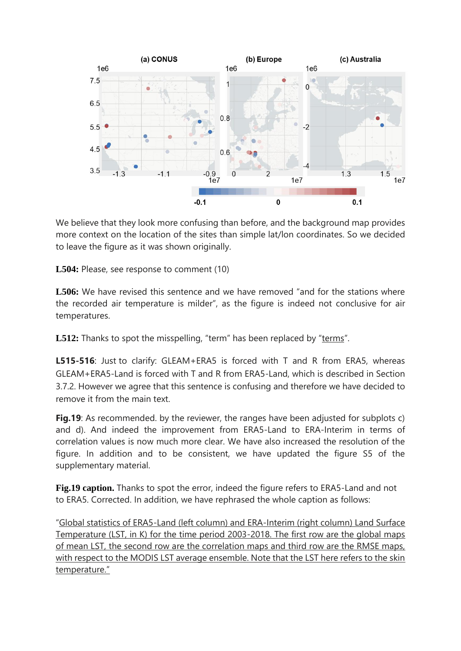

We believe that they look more confusing than before, and the background map provides more context on the location of the sites than simple lat/lon coordinates. So we decided to leave the figure as it was shown originally.

**L504:** Please, see response to comment (10)

**L506:** We have revised this sentence and we have removed "and for the stations where the recorded air temperature is milder", as the figure is indeed not conclusive for air temperatures.

**L512:** Thanks to spot the misspelling, "term" has been replaced by "terms".

**L515-516**: Just to clarify: GLEAM+ERA5 is forced with T and R from ERA5, whereas GLEAM+ERA5-Land is forced with T and R from ERA5-Land, which is described in Section 3.7.2. However we agree that this sentence is confusing and therefore we have decided to remove it from the main text.

**Fig.19**: As recommended. by the reviewer, the ranges have been adjusted for subplots c) and d). And indeed the improvement from ERA5-Land to ERA-Interim in terms of correlation values is now much more clear. We have also increased the resolution of the figure. In addition and to be consistent, we have updated the figure S5 of the supplementary material.

**Fig.19 caption.** Thanks to spot the error, indeed the figure refers to ERA5-Land and not to ERA5. Corrected. In addition, we have rephrased the whole caption as follows:

"Global statistics of ERA5-Land (left column) and ERA-Interim (right column) Land Surface Temperature (LST, in K) for the time period 2003-2018. The first row are the global maps of mean LST, the second row are the correlation maps and third row are the RMSE maps, with respect to the MODIS LST average ensemble. Note that the LST here refers to the skin temperature."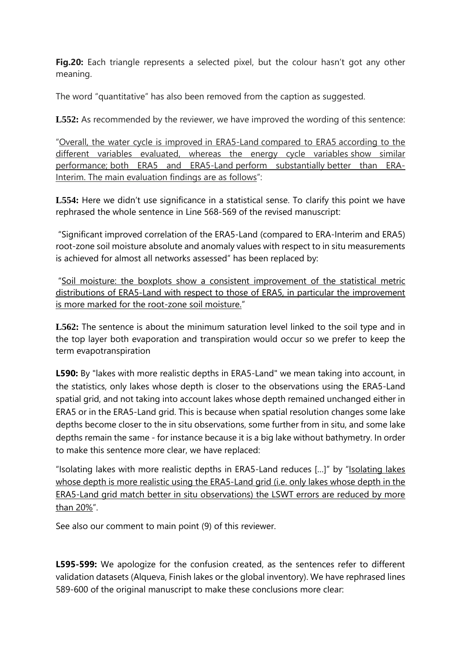**Fig.20:** Each triangle represents a selected pixel, but the colour hasn't got any other meaning.

The word "quantitative" has also been removed from the caption as suggested.

**L552:** As recommended by the reviewer, we have improved the wording of this sentence:

"Overall, the water cycle is improved in ERA5-Land compared to ERA5 according to the different variables evaluated, whereas the energy cycle variables show similar performance; both ERA5 and ERA5-Land perform substantially better than ERA-Interim. The main evaluation findings are as follows":

L554: Here we didn't use significance in a statistical sense. To clarify this point we have rephrased the whole sentence in Line 568-569 of the revised manuscript:

"Significant improved correlation of the ERA5-Land (compared to ERA-Interim and ERA5) root-zone soil moisture absolute and anomaly values with respect to in situ measurements is achieved for almost all networks assessed" has been replaced by:

"Soil moisture: the boxplots show a consistent improvement of the statistical metric distributions of ERA5-Land with respect to those of ERA5, in particular the improvement is more marked for the root-zone soil moisture."

**L562:** The sentence is about the minimum saturation level linked to the soil type and in the top layer both evaporation and transpiration would occur so we prefer to keep the term evapotranspiration

**L590:** By "lakes with more realistic depths in ERA5-Land" we mean taking into account, in the statistics, only lakes whose depth is closer to the observations using the ERA5-Land spatial grid, and not taking into account lakes whose depth remained unchanged either in ERA5 or in the ERA5-Land grid. This is because when spatial resolution changes some lake depths become closer to the in situ observations, some further from in situ, and some lake depths remain the same - for instance because it is a big lake without bathymetry. In order to make this sentence more clear, we have replaced:

"Isolating lakes with more realistic depths in ERA5-Land reduces […]" by "Isolating lakes whose depth is more realistic using the ERA5-Land grid (i.e. only lakes whose depth in the ERA5-Land grid match better in situ observations) the LSWT errors are reduced by more than 20%".

See also our comment to main point (9) of this reviewer.

**L595-599:** We apologize for the confusion created, as the sentences refer to different validation datasets (Alqueva, Finish lakes or the global inventory). We have rephrased lines 589-600 of the original manuscript to make these conclusions more clear: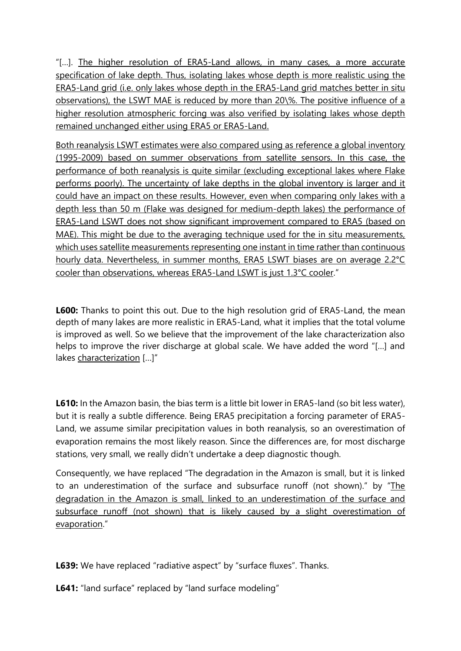"[…]. The higher resolution of ERA5-Land allows, in many cases, a more accurate specification of lake depth. Thus, isolating lakes whose depth is more realistic using the ERA5-Land grid (i.e. only lakes whose depth in the ERA5-Land grid matches better in situ observations), the LSWT MAE is reduced by more than 20\%. The positive influence of a higher resolution atmospheric forcing was also verified by isolating lakes whose depth remained unchanged either using ERA5 or ERA5-Land.

Both reanalysis LSWT estimates were also compared using as reference a global inventory (1995-2009) based on summer observations from satellite sensors. In this case, the performance of both reanalysis is quite similar (excluding exceptional lakes where Flake performs poorly). The uncertainty of lake depths in the global inventory is larger and it could have an impact on these results. However, even when comparing only lakes with a depth less than 50 m (Flake was designed for medium-depth lakes) the performance of ERA5-Land LSWT does not show significant improvement compared to ERA5 (based on MAE). This might be due to the averaging technique used for the in situ measurements, which uses satellite measurements representing one instant in time rather than continuous hourly data. Nevertheless, in summer months, ERA5 LSWT biases are on average 2.2°C cooler than observations, whereas ERA5-Land LSWT is just 1.3°C cooler."

**L600:** Thanks to point this out. Due to the high resolution grid of ERA5-Land, the mean depth of many lakes are more realistic in ERA5-Land, what it implies that the total volume is improved as well. So we believe that the improvement of the lake characterization also helps to improve the river discharge at global scale. We have added the word "[…] and lakes characterization […]"

**L610:** In the Amazon basin, the bias term is a little bit lower in ERA5-land (so bit less water), but it is really a subtle difference. Being ERA5 precipitation a forcing parameter of ERA5- Land, we assume similar precipitation values in both reanalysis, so an overestimation of evaporation remains the most likely reason. Since the differences are, for most discharge stations, very small, we really didn't undertake a deep diagnostic though.

Consequently, we have replaced "The degradation in the Amazon is small, but it is linked to an underestimation of the surface and subsurface runoff (not shown)." by "The degradation in the Amazon is small, linked to an underestimation of the surface and subsurface runoff (not shown) that is likely caused by a slight overestimation of evaporation."

**L639:** We have replaced "radiative aspect" by "surface fluxes". Thanks.

**L641:** "land surface" replaced by "land surface modeling"